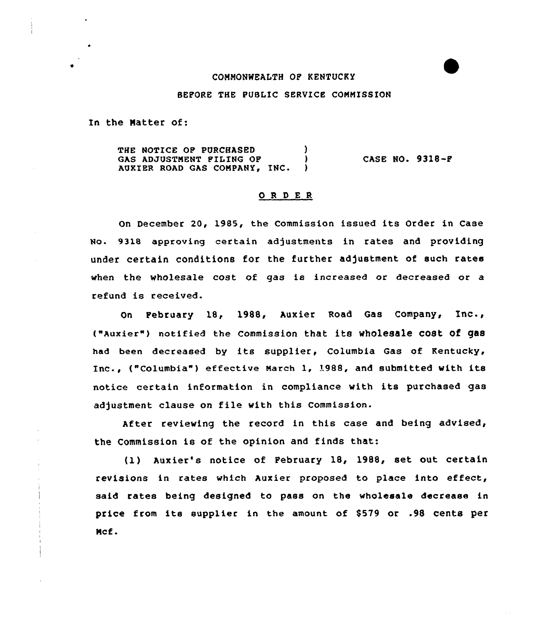# CONNONWEALTH OP KENTUCKY

### BEFORE THE PUBLIC SERVICE COMMISSION

In the Natter of:

THE NOTICE OF PURCHASED (1) GAS ADJUSTMENT FILING OF (3) GAS ADJUSTMENT FILING OF (ASE NO. 9318-F)<br>AUXIER ROAD GAS COMPANY, INC. (ASE OF AUXIER ROAD GAS

### ORDER

On December 20, 1985, the Commission issued its Order in Case No. 9318 approving certain adjustments in rates and providing under certain conditions for the further adjustment of such rates when the wholesale cost of gas is increased or decreased or a refund is received.

On February 18, 1988, Auxier Road Gas Company, Inc., ("Auxier") notified the Commission that its wholesale cost of gas had been decreased by its supplier, Columbia Gas of Kentucky, Inc., ("Columbia") effective March 1, 1988, and submitted with its notice certain information in compliance with its purchased gas adjustment clause on file with this Commission.

After reviewing the record in this case and being advised, the Commission is of the opinion and finds that:

(1) Auxier's notice of February 18, 1988, set out certain revisions in rates which Auxier proposed to place into effect, said rates being designed to pass on the wholesale decrease in price from its supplier in the amount of \$579 or .98 cents per Ncf.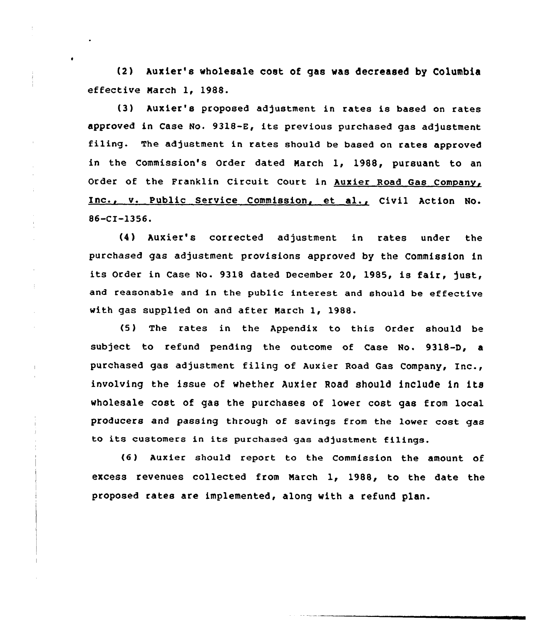(2) Auxier's wholesale cost of gas was decreased by Columbia effective March 1, 1988.

(3) Auxier's proposed adjustment in rates is based on rates approved in Case No. 9318-E, its previous purchased gas adjustment filing. The adjustment in rates should be based on rates approved in the Commission's Order dated March 1, 1988, pursuant to an Order of the Franklin Circuit Court in Auxier Road Gas Company, Inc., v. Public Service Commission, et al., Civil Action No. 86-CI-1356.

(4 ) Auxier's corrected adjustment in rates under the purchased gas adjustment provisions approved by the Commission in its Order in Case No. 9318 dated December 20, 1985, is fair, just, and reasonable and in the public interest and should be effective with gas supplied on and after March 1, 1988.

(5 ) The rates in the Appendix to this Order should be subject to refund pending the outcome of Case No. 9318-D, a purchased gas adjustment filing of Auxier Road Gas Company, Inc., involving the issue of whether Auxier Road should include in its wholesale cost of gas the purchases of lower cost gas from local producers and passing through of savings from the lower cost gas to its customers in its purchased gas adjustment filings.

(6 ) Auxier should report to the Commission the amount of excess revenues collected from March 1, 1988, to the date the proposed rates are implemented, along with a refund plan.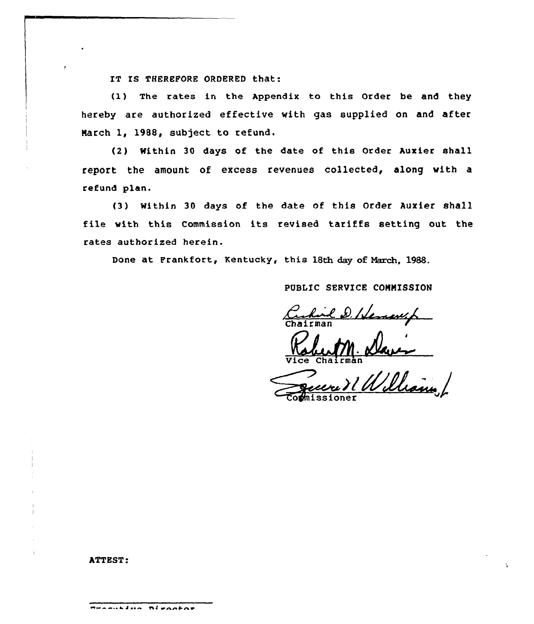IT IS THEREFORE ORDERED that:

(1) The rates in the Appendix to this Order be and they hereby are authorized effective with gas supplied on and after March 1, 1988, subject to refund.

(2) Within 30 days of the date of this Order Auxier shall report the amount of excess revenues collected, along with a refund plan.

(3) Within 30 days of the date of this Order Auxier shall file with this Commission its revised tariffs setting out the rates authorized herein.

Done at Frankfort, Kentucky, this 18th day of March, 1988.

PUBLIC SERVICE COMMISSION

Certicle D. Hemansh

1 William

## ATTEST:

 $\overline{\phantom{a}}$